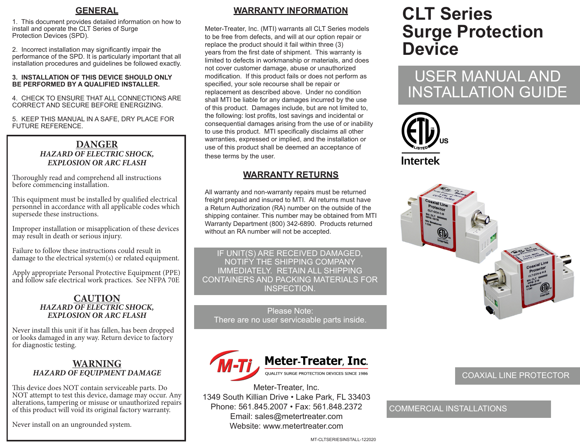### **GENERAL**

1. This document provides detailed information on how to install and operate the CLT Series of Surge Protection Devices (SPD).

2. Incorrect installation may significantly impair the performance of the SPD. It is particularly important that all installation procedures and guidelines be followed exactly.

#### **3. INSTALLATION OF THIS DEVICE SHOULD ONLY BE PERFORMED BY A QUALIFIED INSTALLER.**

4. CHECK TO ENSURE THAT ALL CONNECTIONS ARE CORRECT AND SECURE BEFORE ENERGIZING.

5. KEEP THIS MANUAL IN A SAFE, DRY PLACE FOR FUTURE REFERENCE.

#### **DANGER** *HAZARD OF ELECTRIC SHOCK, EXPLOSION OR ARC FLASH*

Thoroughly read and comprehend all instructions before commencing installation.

This equipment must be installed by qualified electrical personnel in accordance with all applicable codes which supersede these instructions.

Improper installation or misapplication of these devices may result in death or serious injury.

Failure to follow these instructions could result in damage to the electrical system(s) or related equipment.

Apply appropriate Personal Protective Equipment (PPE) and follow safe electrical work practices. See NFPA 70E

#### **CAUTION** *HAZARD OF ELECTRIC SHOCK, EXPLOSION OR ARC FLASH*

Never install this unit if it has fallen, has been dropped or looks damaged in any way. Return device to factory for diagnostic testing.

#### **WARNING** *HAZARD OF EQUIPMENT DAMAGE*

This device does NOT contain serviceable parts. Do NOT attempt to test this device, damage may occur. Any alterations, tampering or misuse or unauthorized repairs of this product will void its original factory warranty.

Never install on an ungrounded system.

## **WARRANTY INFORMATION**

Meter-Treater, Inc. (MTI) warrants all CLT Series models to be free from defects, and will at our option repair or replace the product should it fail within three (3) years from the first date of shipment. This warranty is limited to defects in workmanship or materials, and does not cover customer damage, abuse or unauthorized modification. If this product fails or does not perform as specified, your sole recourse shall be repair or replacement as described above. Under no condition shall MTI be liable for any damages incurred by the use of this product. Damages include, but are not limited to, the following: lost profits, lost savings and incidental or consequential damages arising from the use of or inability to use this product. MTI specifically disclaims all other warranties, expressed or implied, and the installation or use of this product shall be deemed an acceptance of these terms by the user.

## **WARRANTY RETURNS**

All warranty and non-warranty repairs must be returned freight prepaid and insured to MTI. All returns must have a Return Authorization (RA) number on the outside of the shipping container. This number may be obtained from MTI Warranty Department (800) 342-6890. Products returned without an RA number will not be accepted.

IF UNIT(S) ARE RECEIVED DAMAGED, NOTIFY THE SHIPPING COMPANY IMMEDIATELY. RETAIN ALL SHIPPING CONTAINERS AND PACKING MATERIALS FOR INSPECTION.

Please Note: There are no user serviceable parts inside.



Meter-Treater, Inc. 1349 South Killian Drive • Lake Park, FL 33403 Phone: 561.845.2007 • Fax: 561.848.2372 Email: sales@metertreater.com Website: www.metertreater.com

# **CLT Series Surge Protection Device**

# USER MANUAL AND INSTALLATION GUIDE





### COAXIAL LINE PROTECTOR

## COMMERCIAL INSTALLATIONS